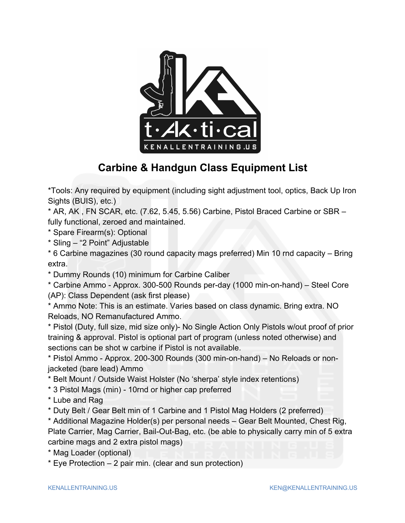

## **Carbine & Handgun Class Equipment List**

\*Tools: Any required by equipment (including sight adjustment tool, optics, Back Up Iron Sights (BUIS), etc.)

 $*$  AR, AK, FN SCAR, etc. (7.62, 5.45, 5.56) Carbine, Pistol Braced Carbine or SBR  $$ fully functional, zeroed and maintained.

\* Spare Firearm(s): Optional

\* Sling ‒ "2 Point" Adjustable

\* 6 Carbine magazines (30 round capacity mags preferred) Min 10 rnd capacity ‒ Bring extra.

\* Dummy Rounds (10) minimum for Carbine Caliber

\* Carbine Ammo - Approx. 300-500 Rounds per-day (1000 min-on-hand) ‒ Steel Core (AP): Class Dependent (ask first please)

\* Ammo Note: This is an estimate. Varies based on class dynamic. Bring extra. NO Reloads, NO Remanufactured Ammo.

\* Pistol (Duty, full size, mid size only)- No Single Action Only Pistols w/out proof of prior training & approval. Pistol is optional part of program (unless noted otherwise) and sections can be shot w carbine if Pistol is not available.

\* Pistol Ammo - Approx. 200-300 Rounds (300 min-on-hand) ‒ No Reloads or nonjacketed (bare lead) Ammo

\* Belt Mount / Outside Waist Holster (No 'sherpa' style index retentions)

- \* 3 Pistol Mags (min) 10rnd or higher cap preferred
- \* Lube and Rag

\* Duty Belt / Gear Belt min of 1 Carbine and 1 Pistol Mag Holders (2 preferred)

\* Additional Magazine Holder(s) per personal needs ‒ Gear Belt Mounted, Chest Rig, Plate Carrier, Mag Carrier, Bail-Out-Bag, etc. (be able to physically carry min of 5 extra carbine mags and 2 extra pistol mags)

- \* Mag Loader (optional)
- $*$  Eye Protection  $-2$  pair min. (clear and sun protection)